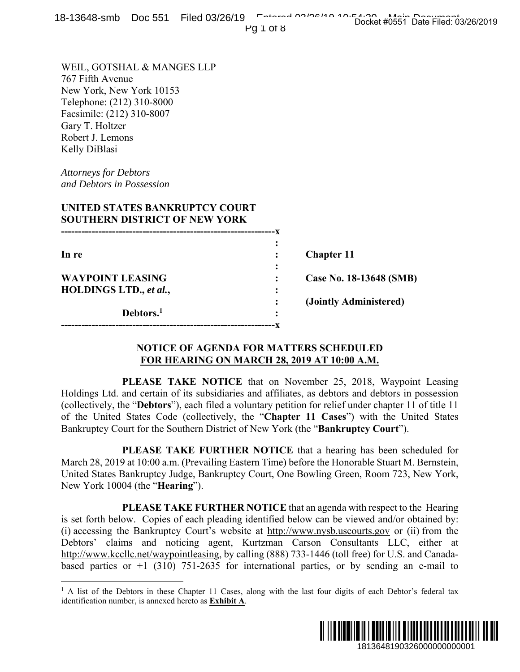|  | 18-13648-smb Doc 551 Filed 03/26/19 February 20106110.10:50004 their Data Filed 03 |  |                                     |
|--|------------------------------------------------------------------------------------|--|-------------------------------------|
|  | $11017$ $\wedge$ U                                                                 |  | Docket #0551 Date Filed: 03/26/2019 |

Pg 1 of 8

WEIL, GOTSHAL & MANGES LLP 767 Fifth Avenue New York, New York 10153 Telephone: (212) 310-8000 Facsimile: (212) 310-8007 Gary T. Holtzer Robert J. Lemons Kelly DiBlasi

*Attorneys for Debtors and Debtors in Possession* 

 $\overline{a}$ 

## **UNITED STATES BANKRUPTCY COURT SOUTHERN DISTRICT OF NEW YORK**

| In re                   |   | <b>Chapter 11</b>       |
|-------------------------|---|-------------------------|
|                         | ٠ |                         |
| <b>WAYPOINT LEASING</b> |   | Case No. 18-13648 (SMB) |
| HOLDINGS LTD., et al.,  | ٠ |                         |
|                         |   | (Jointly Administered)  |
| Debtors. <sup>1</sup>   | ٠ |                         |
|                         |   |                         |

### **NOTICE OF AGENDA FOR MATTERS SCHEDULED FOR HEARING ON MARCH 28, 2019 AT 10:00 A.M.**

 **PLEASE TAKE NOTICE** that on November 25, 2018, Waypoint Leasing Holdings Ltd. and certain of its subsidiaries and affiliates, as debtors and debtors in possession (collectively, the "**Debtors**"), each filed a voluntary petition for relief under chapter 11 of title 11 of the United States Code (collectively, the "**Chapter 11 Cases**") with the United States Bankruptcy Court for the Southern District of New York (the "**Bankruptcy Court**").

 **PLEASE TAKE FURTHER NOTICE** that a hearing has been scheduled for March 28, 2019 at 10:00 a.m. (Prevailing Eastern Time) before the Honorable Stuart M. Bernstein, United States Bankruptcy Judge, Bankruptcy Court, One Bowling Green, Room 723, New York, New York 10004 (the "**Hearing**").

 **PLEASE TAKE FURTHER NOTICE** that an agenda with respect to the Hearing is set forth below. Copies of each pleading identified below can be viewed and/or obtained by: (i) accessing the Bankruptcy Court's website at http://www.nysb.uscourts.gov or (ii) from the Debtors' claims and noticing agent, Kurtzman Carson Consultants LLC, either at http://www.kccllc.net/waypointleasing, by calling (888) 733-1446 (toll free) for U.S. and Canadabased parties or  $+1$  (310) 751-2635 for international parties, or by sending an e-mail to **1913648 (SMB)**<br> **1913648 (SMB)**<br> **1913648 (SMB)**<br> **1913648** (SMB)<br> **1913648** (SMB)<br> **1913648** (SMB)<br> **19146** constrained about the United States<br> **19246** controlling the United States<br> **1923** (Supervice File Film and Sta

<sup>&</sup>lt;sup>1</sup> A list of the Debtors in these Chapter 11 Cases, along with the last four digits of each Debtor's federal tax identification number, is annexed hereto as **Exhibit A**.

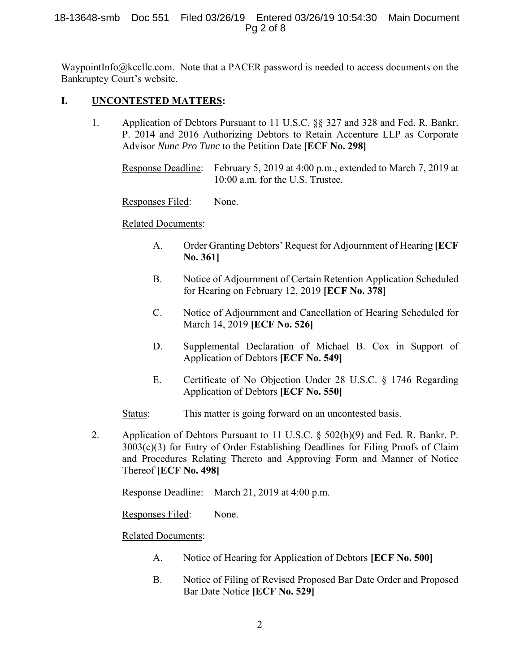## 18-13648-smb Doc 551 Filed 03/26/19 Entered 03/26/19 10:54:30 Main Document Pg 2 of 8

WaypointInfo@kccllc.com. Note that a PACER password is needed to access documents on the Bankruptcy Court's website.

# **I. UNCONTESTED MATTERS:**

1. Application of Debtors Pursuant to 11 U.S.C. §§ 327 and 328 and Fed. R. Bankr. P. 2014 and 2016 Authorizing Debtors to Retain Accenture LLP as Corporate Advisor *Nunc Pro Tunc* to the Petition Date **[ECF No. 298]**

Response Deadline: February 5, 2019 at 4:00 p.m., extended to March 7, 2019 at 10:00 a.m. for the U.S. Trustee.

# Responses Filed: None.

# Related Documents:

- A. Order Granting Debtors' Request for Adjournment of Hearing **[ECF No. 361]**
- B. Notice of Adjournment of Certain Retention Application Scheduled for Hearing on February 12, 2019 **[ECF No. 378]**
- C. Notice of Adjournment and Cancellation of Hearing Scheduled for March 14, 2019 **[ECF No. 526]**
- D. Supplemental Declaration of Michael B. Cox in Support of Application of Debtors **[ECF No. 549]**
- E. Certificate of No Objection Under 28 U.S.C. § 1746 Regarding Application of Debtors **[ECF No. 550]**

Status: This matter is going forward on an uncontested basis.

2. Application of Debtors Pursuant to 11 U.S.C. § 502(b)(9) and Fed. R. Bankr. P. 3003(c)(3) for Entry of Order Establishing Deadlines for Filing Proofs of Claim and Procedures Relating Thereto and Approving Form and Manner of Notice Thereof **[ECF No. 498]** 

Response Deadline: March 21, 2019 at 4:00 p.m.

Responses Filed: None.

# Related Documents:

- A. Notice of Hearing for Application of Debtors **[ECF No. 500]**
- B. Notice of Filing of Revised Proposed Bar Date Order and Proposed Bar Date Notice **[ECF No. 529]**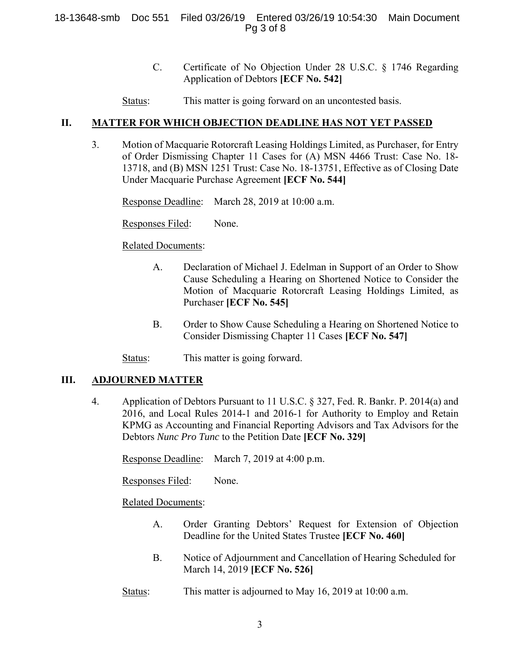## 18-13648-smb Doc 551 Filed 03/26/19 Entered 03/26/19 10:54:30 Main Document Pg 3 of 8

- C. Certificate of No Objection Under 28 U.S.C. § 1746 Regarding Application of Debtors **[ECF No. 542]**
- Status: This matter is going forward on an uncontested basis.

## **II. MATTER FOR WHICH OBJECTION DEADLINE HAS NOT YET PASSED**

3. Motion of Macquarie Rotorcraft Leasing Holdings Limited, as Purchaser, for Entry of Order Dismissing Chapter 11 Cases for (A) MSN 4466 Trust: Case No. 18- 13718, and (B) MSN 1251 Trust: Case No. 18-13751, Effective as of Closing Date Under Macquarie Purchase Agreement **[ECF No. 544]** 

Response Deadline: March 28, 2019 at 10:00 a.m.

Responses Filed: None.

Related Documents:

- A. Declaration of Michael J. Edelman in Support of an Order to Show Cause Scheduling a Hearing on Shortened Notice to Consider the Motion of Macquarie Rotorcraft Leasing Holdings Limited, as Purchaser **[ECF No. 545]**
- B. Order to Show Cause Scheduling a Hearing on Shortened Notice to Consider Dismissing Chapter 11 Cases **[ECF No. 547]**

Status: This matter is going forward.

## **III. ADJOURNED MATTER**

4. Application of Debtors Pursuant to 11 U.S.C. § 327, Fed. R. Bankr. P. 2014(a) and 2016, and Local Rules 2014-1 and 2016-1 for Authority to Employ and Retain KPMG as Accounting and Financial Reporting Advisors and Tax Advisors for the Debtors *Nunc Pro Tunc* to the Petition Date **[ECF No. 329]** 

Response Deadline: March 7, 2019 at 4:00 p.m.

Responses Filed: None.

Related Documents:

- A. Order Granting Debtors' Request for Extension of Objection Deadline for the United States Trustee **[ECF No. 460]**
- B. Notice of Adjournment and Cancellation of Hearing Scheduled for March 14, 2019 **[ECF No. 526]**
- Status: This matter is adjourned to May 16, 2019 at 10:00 a.m.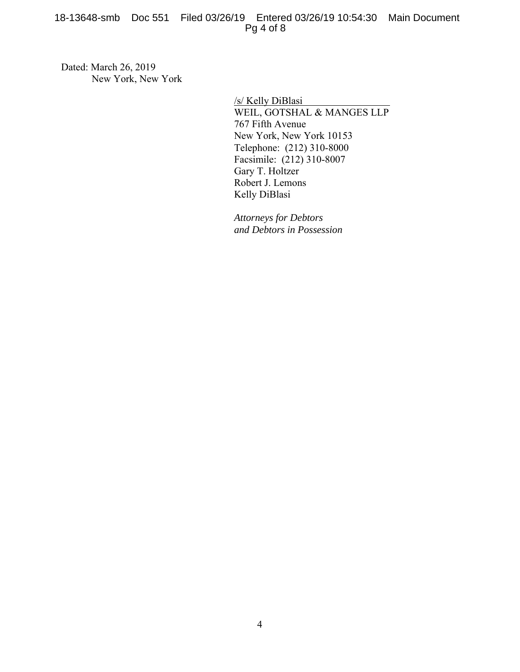18-13648-smb Doc 551 Filed 03/26/19 Entered 03/26/19 10:54:30 Main Document Pg 4 of 8

Dated: March 26, 2019 New York, New York

> /s/ Kelly DiBlasi WEIL, GOTSHAL & MANGES LLP 767 Fifth Avenue New York, New York 10153 Telephone: (212) 310-8000 Facsimile: (212) 310-8007 Gary T. Holtzer Robert J. Lemons Kelly DiBlasi

*Attorneys for Debtors and Debtors in Possession*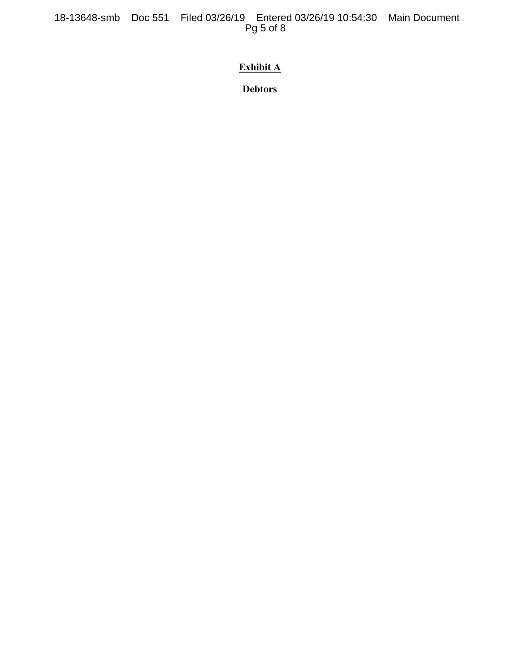18-13648-smb Doc 551 Filed 03/26/19 Entered 03/26/19 10:54:30 Main Document Pg 5 of 8

# **Exhibit A**

**Debtors**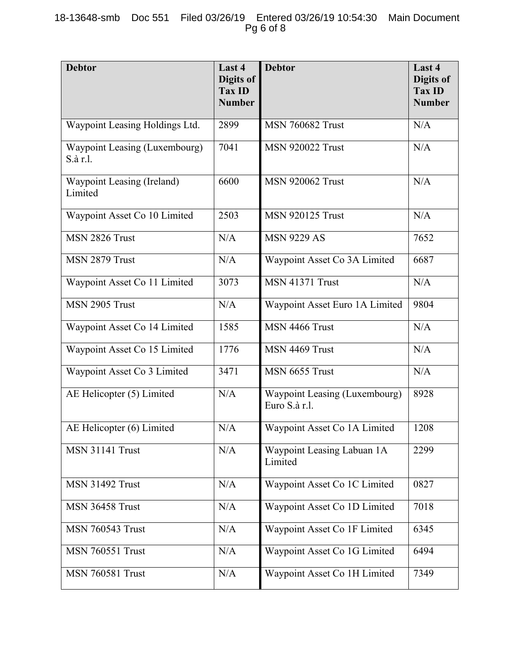| <b>Debtor</b>                             | Last 4<br>Digits of<br><b>Tax ID</b><br><b>Number</b> | <b>Debtor</b>                                  | Last 4<br>Digits of<br><b>Tax ID</b><br><b>Number</b> |
|-------------------------------------------|-------------------------------------------------------|------------------------------------------------|-------------------------------------------------------|
| Waypoint Leasing Holdings Ltd.            | 2899                                                  | <b>MSN 760682 Trust</b>                        | N/A                                                   |
| Waypoint Leasing (Luxembourg)<br>S.à r.l. | 7041                                                  | <b>MSN 920022 Trust</b>                        | N/A                                                   |
| Waypoint Leasing (Ireland)<br>Limited     | 6600                                                  | <b>MSN 920062 Trust</b>                        | N/A                                                   |
| Waypoint Asset Co 10 Limited              | 2503                                                  | <b>MSN 920125 Trust</b>                        | N/A                                                   |
| MSN 2826 Trust                            | N/A                                                   | <b>MSN 9229 AS</b>                             | 7652                                                  |
| MSN 2879 Trust                            | N/A                                                   | Waypoint Asset Co 3A Limited                   | 6687                                                  |
| Waypoint Asset Co 11 Limited              | 3073                                                  | <b>MSN 41371 Trust</b>                         | N/A                                                   |
| MSN 2905 Trust                            | N/A                                                   | Waypoint Asset Euro 1A Limited                 | 9804                                                  |
| Waypoint Asset Co 14 Limited              | 1585                                                  | MSN 4466 Trust                                 | N/A                                                   |
| Waypoint Asset Co 15 Limited              | 1776                                                  | MSN 4469 Trust                                 | N/A                                                   |
| Waypoint Asset Co 3 Limited               | 3471                                                  | MSN 6655 Trust                                 | N/A                                                   |
| AE Helicopter (5) Limited                 | N/A                                                   | Waypoint Leasing (Luxembourg)<br>Euro S.à r.l. | 8928                                                  |
| AE Helicopter (6) Limited                 | N/A                                                   | Waypoint Asset Co 1A Limited                   | 1208                                                  |
| <b>MSN 31141 Trust</b>                    | N/A                                                   | Waypoint Leasing Labuan 1A<br>Limited          | 2299                                                  |
| <b>MSN 31492 Trust</b>                    | N/A                                                   | Waypoint Asset Co 1C Limited                   | 0827                                                  |
| <b>MSN 36458 Trust</b>                    | N/A                                                   | Waypoint Asset Co 1D Limited                   | 7018                                                  |
| <b>MSN 760543 Trust</b>                   | N/A                                                   | Waypoint Asset Co 1F Limited                   | 6345                                                  |
| <b>MSN 760551 Trust</b>                   | N/A                                                   | Waypoint Asset Co 1G Limited                   | 6494                                                  |
| <b>MSN 760581 Trust</b>                   | N/A                                                   | Waypoint Asset Co 1H Limited                   | 7349                                                  |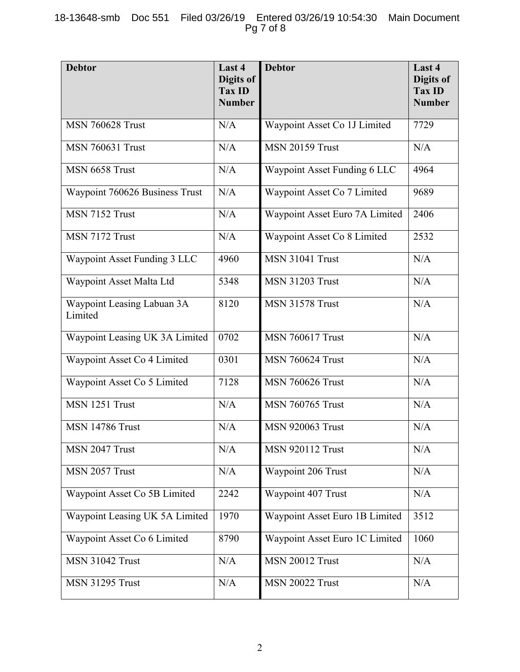| <b>Debtor</b>                         | Last 4<br>Digits of<br><b>Tax ID</b><br><b>Number</b> | <b>Debtor</b>                  | Last 4<br>Digits of<br><b>Tax ID</b><br><b>Number</b> |
|---------------------------------------|-------------------------------------------------------|--------------------------------|-------------------------------------------------------|
| <b>MSN 760628 Trust</b>               | N/A                                                   | Waypoint Asset Co 1J Limited   | 7729                                                  |
| <b>MSN 760631 Trust</b>               | N/A                                                   | <b>MSN 20159 Trust</b>         | N/A                                                   |
| MSN 6658 Trust                        | N/A                                                   | Waypoint Asset Funding 6 LLC   | 4964                                                  |
| Waypoint 760626 Business Trust        | N/A                                                   | Waypoint Asset Co 7 Limited    | 9689                                                  |
| MSN 7152 Trust                        | N/A                                                   | Waypoint Asset Euro 7A Limited | 2406                                                  |
| MSN 7172 Trust                        | N/A                                                   | Waypoint Asset Co 8 Limited    | 2532                                                  |
| Waypoint Asset Funding 3 LLC          | 4960                                                  | <b>MSN 31041 Trust</b>         | N/A                                                   |
| Waypoint Asset Malta Ltd              | 5348                                                  | <b>MSN 31203 Trust</b>         | N/A                                                   |
| Waypoint Leasing Labuan 3A<br>Limited | 8120                                                  | <b>MSN 31578 Trust</b>         | N/A                                                   |
| Waypoint Leasing UK 3A Limited        | 0702                                                  | <b>MSN 760617 Trust</b>        | N/A                                                   |
| Waypoint Asset Co 4 Limited           | 0301                                                  | <b>MSN 760624 Trust</b>        | N/A                                                   |
| Waypoint Asset Co 5 Limited           | 7128                                                  | <b>MSN 760626 Trust</b>        | N/A                                                   |
| MSN 1251 Trust                        | N/A                                                   | <b>MSN 760765 Trust</b>        | N/A                                                   |
| <b>MSN 14786 Trust</b>                | N/A                                                   | <b>MSN 920063 Trust</b>        | N/A                                                   |
| MSN 2047 Trust                        | N/A                                                   | <b>MSN 920112 Trust</b>        | N/A                                                   |
| MSN 2057 Trust                        | N/A                                                   | Waypoint 206 Trust             | N/A                                                   |
| Waypoint Asset Co 5B Limited          | 2242                                                  | Waypoint 407 Trust             | N/A                                                   |
| Waypoint Leasing UK 5A Limited        | 1970                                                  | Waypoint Asset Euro 1B Limited | 3512                                                  |
| Waypoint Asset Co 6 Limited           | 8790                                                  | Waypoint Asset Euro 1C Limited | 1060                                                  |
| <b>MSN 31042 Trust</b>                | N/A                                                   | <b>MSN 20012 Trust</b>         | N/A                                                   |
| <b>MSN 31295 Trust</b>                | N/A                                                   | <b>MSN 20022 Trust</b>         | N/A                                                   |